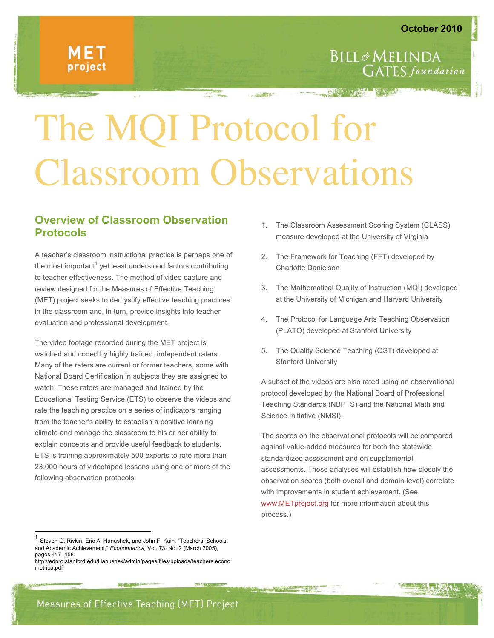**GATES** foundation

**BILL&MELINDA** 

# The MQI Protocol for Classroom Observations

## **Overview of Classroom Observation Protocols**

A teacher's classroom instructional practice is perhaps one of the most important<sup>1</sup> yet least understood factors contributing to teacher effectiveness. The method of video capture and review designed for the Measures of Effective Teaching (MET) project seeks to demystify effective teaching practices in the classroom and, in turn, provide insights into teacher evaluation and professional development.

The video footage recorded during the MET project is watched and coded by highly trained, independent raters. Many of the raters are current or former teachers, some with National Board Certification in subjects they are assigned to watch. These raters are managed and trained by the Educational Testing Service (ETS) to observe the videos and rate the teaching practice on a series of indicators ranging from the teacher's ability to establish a positive learning climate and manage the classroom to his or her ability to explain concepts and provide useful feedback to students. ETS is training approximately 500 experts to rate more than 23,000 hours of videotaped lessons using one or more of the following observation protocols:

- 1. The Classroom Assessment Scoring System (CLASS) measure developed at the University of Virginia
- 2. The Framework for Teaching (FFT) developed by Charlotte Danielson
- 3. The Mathematical Quality of Instruction (MQI) developed at the University of Michigan and Harvard University
- 4. The Protocol for Language Arts Teaching Observation (PLATO) developed at Stanford University
- 5. The Quality Science Teaching (QST) developed at Stanford University

A subset of the videos are also rated using an observational protocol developed by the National Board of Professional Teaching Standards (NBPTS) and the National Math and Science Initiative (NMSI).

The scores on the observational protocols will be compared against value-added measures for both the statewide standardized assessment and on supplemental assessments. These analyses will establish how closely the observation scores (both overall and domain-level) correlate with improvements in student achievement. (See www.METproject.org for more information about this process.)

Measures of Effective Teaching (MET) Project

Steven G. Rivkin, Eric A. Hanushek, and John F. Kain, "Teachers, Schools, and Academic Achievement," *Econometrica,* Vol. 73, No. 2 (March 2005), pages 417–458.

http://edpro.stanford.edu/Hanushek/admin/pages/files/uploads/teachers.econo metrica.pdf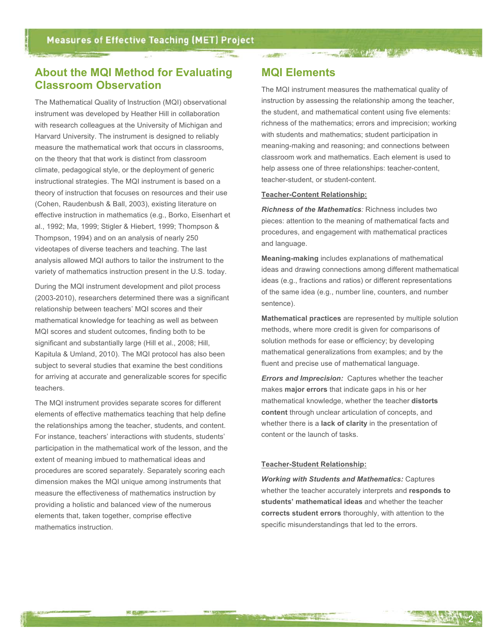# **About the MQI Method for Evaluating Classroom Observation**

The Mathematical Quality of Instruction (MQI) observational instrument was developed by Heather Hill in collaboration with research colleagues at the University of Michigan and Harvard University. The instrument is designed to reliably measure the mathematical work that occurs in classrooms, on the theory that that work is distinct from classroom climate, pedagogical style, or the deployment of generic instructional strategies. The MQI instrument is based on a theory of instruction that focuses on resources and their use (Cohen, Raudenbush & Ball, 2003), existing literature on effective instruction in mathematics (e.g., Borko, Eisenhart et al., 1992; Ma, 1999; Stigler & Hiebert, 1999; Thompson & Thompson, 1994) and on an analysis of nearly 250 videotapes of diverse teachers and teaching. The last analysis allowed MQI authors to tailor the instrument to the variety of mathematics instruction present in the U.S. today.

During the MQI instrument development and pilot process (2003-2010), researchers determined there was a significant relationship between teachers' MQI scores and their mathematical knowledge for teaching as well as between MQI scores and student outcomes, finding both to be significant and substantially large (Hill et al., 2008; Hill, Kapitula & Umland, 2010). The MQI protocol has also been subject to several studies that examine the best conditions for arriving at accurate and generalizable scores for specific teachers.

The MQI instrument provides separate scores for different elements of effective mathematics teaching that help define the relationships among the teacher, students, and content. For instance, teachers' interactions with students, students' participation in the mathematical work of the lesson, and the extent of meaning imbued to mathematical ideas and procedures are scored separately. Separately scoring each dimension makes the MQI unique among instruments that measure the effectiveness of mathematics instruction by providing a holistic and balanced view of the numerous elements that, taken together, comprise effective mathematics instruction.

## **MQI Elements**

· 血細胞。

The MQI instrument measures the mathematical quality of instruction by assessing the relationship among the teacher, the student, and mathematical content using five elements: richness of the mathematics; errors and imprecision; working with students and mathematics; student participation in meaning-making and reasoning; and connections between classroom work and mathematics. Each element is used to help assess one of three relationships: teacher-content, teacher-student, or student-content.

THE CHIEF IV TO

#### **Teacher-Content Relationship:**

*Richness of the Mathematics:* Richness includes two pieces: attention to the meaning of mathematical facts and procedures, and engagement with mathematical practices and language.

**Meaning-making** includes explanations of mathematical ideas and drawing connections among different mathematical ideas (e.g., fractions and ratios) or different representations of the same idea (e.g., number line, counters, and number sentence).

**Mathematical practices** are represented by multiple solution methods, where more credit is given for comparisons of solution methods for ease or efficiency; by developing mathematical generalizations from examples; and by the fluent and precise use of mathematical language.

*Errors and Imprecision:* Captures whether the teacher makes **major errors** that indicate gaps in his or her mathematical knowledge, whether the teacher **distorts content** through unclear articulation of concepts, and whether there is a **lack of clarity** in the presentation of content or the launch of tasks.

#### **Teacher-Student Relationship:**

*Working with Students and Mathematics:* Captures whether the teacher accurately interprets and **responds to students' mathematical ideas** and whether the teacher **corrects student errors** thoroughly, with attention to the specific misunderstandings that led to the errors.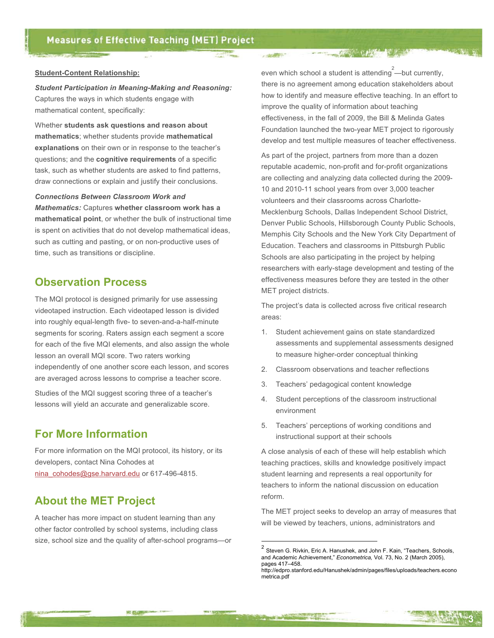#### **Student-Content Relationship:**

*Student Participation in Meaning-Making and Reasoning:* Captures the ways in which students engage with mathematical content, specifically:

Whether **students ask questions and reason about mathematics**; whether students provide **mathematical explanations** on their own or in response to the teacher's questions; and the **cognitive requirements** of a specific task, such as whether students are asked to find patterns, draw connections or explain and justify their conclusions.

*Connections Between Classroom Work and Mathematics:* Captures **whether classroom work has a mathematical point**, or whether the bulk of instructional time is spent on activities that do not develop mathematical ideas, such as cutting and pasting, or on non-productive uses of time, such as transitions or discipline.

## **Observation Process**

The MQI protocol is designed primarily for use assessing videotaped instruction. Each videotaped lesson is divided into roughly equal-length five- to seven-and-a-half-minute segments for scoring. Raters assign each segment a score for each of the five MQI elements, and also assign the whole lesson an overall MQI score. Two raters working independently of one another score each lesson, and scores are averaged across lessons to comprise a teacher score.

Studies of the MQI suggest scoring three of a teacher's lessons will yield an accurate and generalizable score.

## **For More Information**

For more information on the MQI protocol, its history, or its developers, contact Nina Cohodes at nina\_cohodes@gse.harvard.edu or 617-496-4815.

# **About the MET Project**

A teacher has more impact on student learning than any other factor controlled by school systems, including class size, school size and the quality of after-school programs—or

國國

even which school a student is attending  $2$ —but currently, there is no agreement among education stakeholders about how to identify and measure effective teaching. In an effort to improve the quality of information about teaching effectiveness, in the fall of 2009, the Bill & Melinda Gates Foundation launched the two-year MET project to rigorously develop and test multiple measures of teacher effectiveness.

THE REAL PROPERTY OF REAL PROPERTY.

· 血细胞"

As part of the project, partners from more than a dozen reputable academic, non-profit and for-profit organizations are collecting and analyzing data collected during the 2009- 10 and 2010-11 school years from over 3,000 teacher volunteers and their classrooms across Charlotte-Mecklenburg Schools, Dallas Independent School District, Denver Public Schools, Hillsborough County Public Schools, Memphis City Schools and the New York City Department of Education. Teachers and classrooms in Pittsburgh Public Schools are also participating in the project by helping researchers with early-stage development and testing of the effectiveness measures before they are tested in the other MET project districts.

The project's data is collected across five critical research areas:

- 1. Student achievement gains on state standardized assessments and supplemental assessments designed to measure higher-order conceptual thinking
- 2. Classroom observations and teacher reflections
- 3. Teachers' pedagogical content knowledge
- 4. Student perceptions of the classroom instructional environment
- 5. Teachers' perceptions of working conditions and instructional support at their schools

A close analysis of each of these will help establish which teaching practices, skills and knowledge positively impact student learning and represents a real opportunity for teachers to inform the national discussion on education reform.

The MET project seeks to develop an array of measures that will be viewed by teachers, unions, administrators and

**3**

 $<sup>2</sup>$  Steven G. Rivkin, Eric A. Hanushek, and John F. Kain, "Teachers, Schools,</sup> and Academic Achievement," *Econometrica,* Vol. 73, No. 2 (March 2005), pages 417–458.

http://edpro.stanford.edu/Hanushek/admin/pages/files/uploads/teachers.econo metrica.pdf